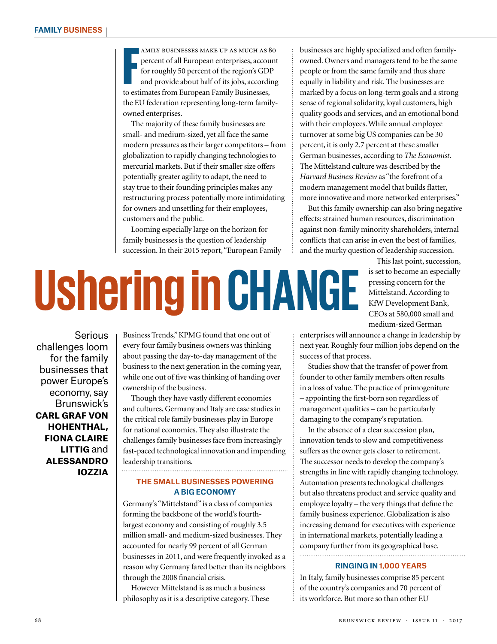F amily businesses make up as much as 80 percent of all European enterprises, account for roughly 50 percent of the region's GDP and provide about half of its jobs, according to estimates from European Family Businesses, the EU federation representing long-term familyowned enterprises.

The majority of these family businesses are small- and medium-sized, yet all face the same modern pressures as their larger competitors – from globalization to rapidly changing technologies to mercurial markets. But if their smaller size offers potentially greater agility to adapt, the need to stay true to their founding principles makes any restructuring process potentially more intimidating for owners and unsettling for their employees, customers and the public.

Looming especially large on the horizon for family businesses is the question of leadership succession. In their 2015 report, "European Family businesses are highly specialized and often familyowned. Owners and managers tend to be the same people or from the same family and thus share equally in liability and risk. The businesses are marked by a focus on long-term goals and a strong sense of regional solidarity, loyal customers, high quality goods and services, and an emotional bond with their employees. While annual employee turnover at some big US companies can be 30 percent, it is only 2.7 percent at these smaller German businesses, according to *The Economist*. The Mittelstand culture was described by the *Harvard Business Review* as "the forefront of a modern management model that builds flatter, more innovative and more networked enterprises."

But this family ownership can also bring negative effects: strained human resources, discrimination against non-family minority shareholders, internal conflicts that can arise in even the best of families, and the murky question of leadership succession.

## **Ushering inCHANGE**

This last point, succession, is set to become an especially pressing concern for the Mittelstand. According to KfW Development Bank, CEOs at 580,000 small and medium-sized German

Serious challenges loom for the family businesses that power Europe's economy, say Brunswick's **carl graf von hohenthal, fiona claire littig** and **alessandro iozzia**

Business Trends," KPMG found that one out of every four family business owners was thinking about passing the day-to-day management of the business to the next generation in the coming year, while one out of five was thinking of handing over ownership of the business.

Though they have vastly different economies and cultures, Germany and Italy are case studies in the critical role family businesses play in Europe for national economies. They also illustrate the challenges family businesses face from increasingly fast-paced technological innovation and impending leadership transitions.

## **THE SMALL BUSINESSES POWERING A BIG ECONOMY**

Germany's "Mittelstand" is a class of companies forming the backbone of the world's fourthlargest economy and consisting of roughly 3.5 million small- and medium-sized businesses. They accounted for nearly 99 percent of all German businesses in 2011, and were frequently invoked as a reason why Germany fared better than its neighbors through the 2008 financial crisis.

However Mittelstand is as much a business philosophy as it is a descriptive category. These enterprises will announce a change in leadership by next year. Roughly four million jobs depend on the success of that process.

Studies show that the transfer of power from founder to other family members often results in a loss of value. The practice of primogeniture – appointing the first-born son regardless of management qualities – can be particularly damaging to the company's reputation.

In the absence of a clear succession plan, innovation tends to slow and competitiveness suffers as the owner gets closer to retirement. The successor needs to develop the company's strengths in line with rapidly changing technology. Automation presents technological challenges but also threatens product and service quality and employee loyalty – the very things that define the family business experience. Globalization is also increasing demand for executives with experience in international markets, potentially leading a company further from its geographical base. . . . . . . . . . . . . . . . . . . . .

## **RINGING IN 1,000 YEARS**

In Italy, family businesses comprise 85 percent of the country's companies and 70 percent of its workforce. But more so than other EU